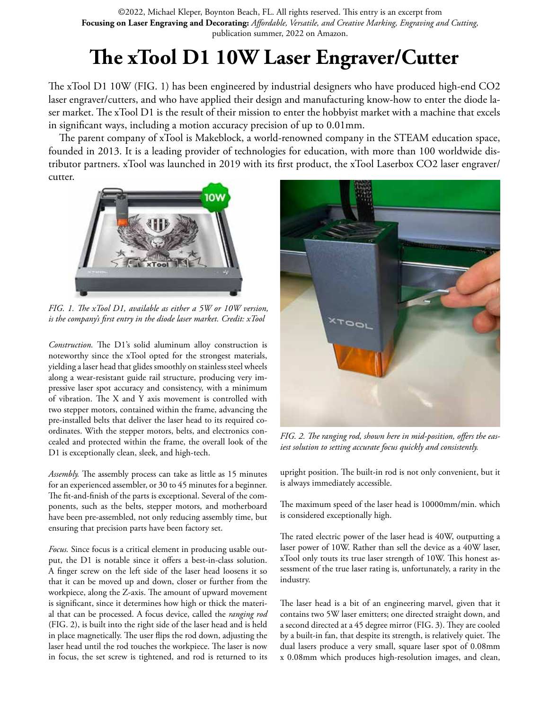Focusing on Laser Engraving and Decorating: Affordable, Versatile, and Creative Marking, Engraving and Cutting, ©2022, Michael Kleper, Boynton Beach, FL. All rights reserved. This entry is an excerpt from publication summer, 2022 on Amazon.

## **The xTool D1 10W Laser Engraver/Cutter**

The xTool D1 10W (FIG. 1) has been engineered by industrial designers who have produced high-end CO2 laser engraver/cutters, and who have applied their design and manufacturing know-how to enter the diode laser market. The xTool D1 is the result of their mission to enter the hobbyist market with a machine that excels in significant ways, including a motion accuracy precision of up to 0.01mm.

The parent company of xTool is Makeblock, a world-renowned company in the STEAM education space, founded in 2013. It is a leading provider of technologies for education, with more than 100 worldwide distributor partners. xTool was launched in 2019 with its first product, the xTool Laserbox CO2 laser engraver/ cutter.



*FIG. 1. The xTool D1, available as either a 5W or 10W version, is the company's first entry in the diode laser market. Credit: xTool*

*Construction.* The D1's solid aluminum alloy construction is noteworthy since the xTool opted for the strongest materials, yielding a laser head that glides smoothly on stainless steel wheels along a wear-resistant guide rail structure, producing very impressive laser spot accuracy and consistency, with a minimum of vibration. The X and Y axis movement is controlled with two stepper motors, contained within the frame, advancing the pre-installed belts that deliver the laser head to its required coordinates. With the stepper motors, belts, and electronics concealed and protected within the frame, the overall look of the D1 is exceptionally clean, sleek, and high-tech.

*Assembly.* The assembly process can take as little as 15 minutes for an experienced assembler, or 30 to 45 minutes for a beginner. The fit-and-finish of the parts is exceptional. Several of the components, such as the belts, stepper motors, and motherboard have been pre-assembled, not only reducing assembly time, but ensuring that precision parts have been factory set.

*Focus.* Since focus is a critical element in producing usable output, the D1 is notable since it offers a best-in-class solution. A finger screw on the left side of the laser head loosens it so that it can be moved up and down, closer or further from the workpiece, along the Z-axis. The amount of upward movement is significant, since it determines how high or thick the material that can be processed. A focus device, called the *ranging rod*  (FIG. 2), is built into the right side of the laser head and is held in place magnetically. The user flips the rod down, adjusting the laser head until the rod touches the workpiece. The laser is now in focus, the set screw is tightened, and rod is returned to its



*FIG. 2. The ranging rod, shown here in mid-position, offers the easiest solution to setting accurate focus quickly and consistently.*

upright position. The built-in rod is not only convenient, but it is always immediately accessible.

The maximum speed of the laser head is 10000mm/min. which is considered exceptionally high.

The rated electric power of the laser head is 40W, outputting a laser power of 10W. Rather than sell the device as a 40W laser, xTool only touts its true laser strength of 10W. This honest assessment of the true laser rating is, unfortunately, a rarity in the industry.

The laser head is a bit of an engineering marvel, given that it contains two 5W laser emitters; one directed straight down, and a second directed at a 45 degree mirror (FIG. 3). They are cooled by a built-in fan, that despite its strength, is relatively quiet. The dual lasers produce a very small, square laser spot of 0.08mm x 0.08mm which produces high-resolution images, and clean,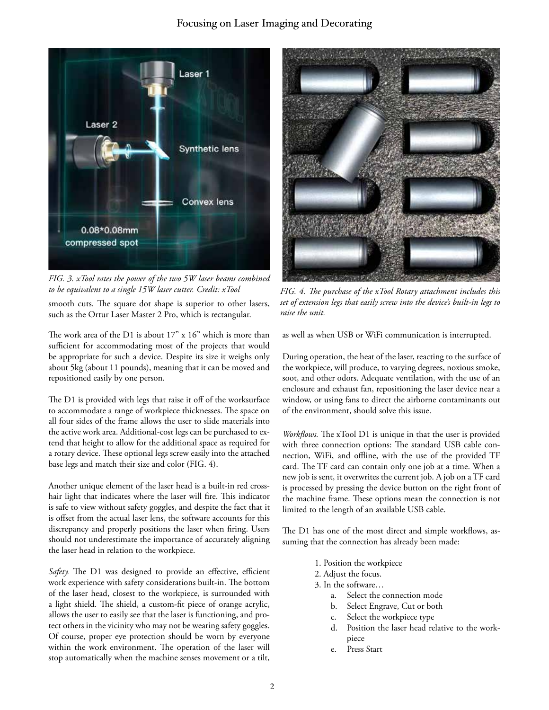

*FIG. 3. xTool rates the power of the two 5W laser beams combined to be equivalent to a single 15W laser cutter. Credit: xTool*

smooth cuts. The square dot shape is superior to other lasers, such as the Ortur Laser Master 2 Pro, which is rectangular.

The work area of the D1 is about 17" x 16" which is more than sufficient for accommodating most of the projects that would be appropriate for such a device. Despite its size it weighs only about 5kg (about 11 pounds), meaning that it can be moved and repositioned easily by one person.

The D1 is provided with legs that raise it off of the worksurface to accommodate a range of workpiece thicknesses. The space on all four sides of the frame allows the user to slide materials into the active work area. Additional-cost legs can be purchased to extend that height to allow for the additional space as required for a rotary device. These optional legs screw easily into the attached base legs and match their size and color (FIG. 4).

Another unique element of the laser head is a built-in red crosshair light that indicates where the laser will fire. This indicator is safe to view without safety goggles, and despite the fact that it is offset from the actual laser lens, the software accounts for this discrepancy and properly positions the laser when firing. Users should not underestimate the importance of accurately aligning the laser head in relation to the workpiece.

*Safety.* The D1 was designed to provide an effective, efficient work experience with safety considerations built-in. The bottom of the laser head, closest to the workpiece, is surrounded with a light shield. The shield, a custom-fit piece of orange acrylic, allows the user to easily see that the laser is functioning, and protect others in the vicinity who may not be wearing safety goggles. Of course, proper eye protection should be worn by everyone within the work environment. The operation of the laser will stop automatically when the machine senses movement or a tilt,



*FIG. 4. The purchase of the xTool Rotary attachment includes this set of extension legs that easily screw into the device's built-in legs to raise the unit.*

as well as when USB or WiFi communication is interrupted.

During operation, the heat of the laser, reacting to the surface of the workpiece, will produce, to varying degrees, noxious smoke, soot, and other odors. Adequate ventilation, with the use of an enclosure and exhaust fan, repositioning the laser device near a window, or using fans to direct the airborne contaminants out of the environment, should solve this issue.

*Workflows.* The xTool D1 is unique in that the user is provided with three connection options: The standard USB cable connection, WiFi, and offline, with the use of the provided TF card. The TF card can contain only one job at a time. When a new job is sent, it overwrites the current job. A job on a TF card is processed by pressing the device button on the right front of the machine frame. These options mean the connection is not limited to the length of an available USB cable.

The D1 has one of the most direct and simple workflows, assuming that the connection has already been made:

- 1. Position the workpiece
- 2. Adjust the focus.
- 3. In the software…
	- a. Select the connection mode
	- b. Select Engrave, Cut or both
	- c. Select the workpiece type
	- d. Position the laser head relative to the workpiece
	- e. Press Start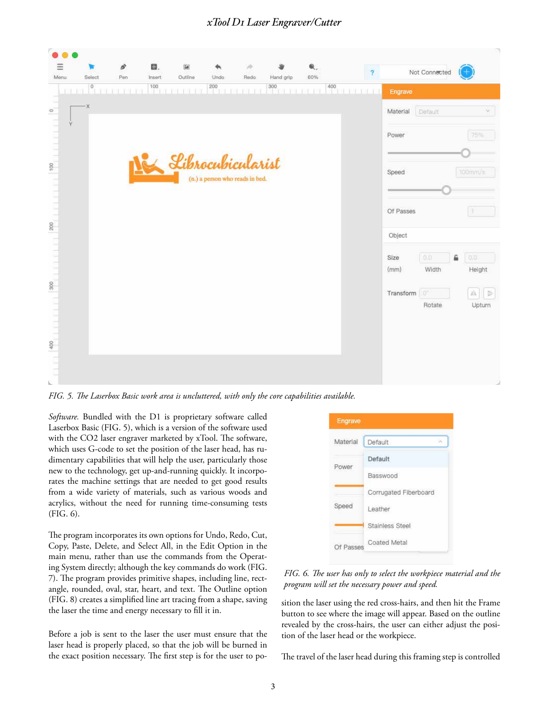## $x$ Tool D1 Laser Engraver/Cutter

| Menu<br>Select<br>$\overline{\phantom{a}}^0$<br>1111 | Pen<br>T THE THE<br>œ | Insert<br>$\frac{100}{1}$ | Outline<br><b>THE THE</b> | Undo<br>200                     | Redo<br>1.11 | Hand grip<br>300 | 60% | $\overline{?}$<br>400 | Engrave   | Not Connected |   |                       |
|------------------------------------------------------|-----------------------|---------------------------|---------------------------|---------------------------------|--------------|------------------|-----|-----------------------|-----------|---------------|---|-----------------------|
| $\cdot$ $\times$                                     |                       |                           |                           |                                 |              |                  |     |                       | Material  | Default       |   | v                     |
| Ÿ                                                    |                       |                           |                           |                                 |              |                  |     |                       | Power     |               |   | 75%                   |
|                                                      |                       |                           | Librocubicularist         |                                 |              |                  |     |                       | Speed     |               |   | 100mm/s               |
|                                                      |                       |                           |                           | (n.) a person who reads in bed. |              |                  |     |                       |           |               |   |                       |
|                                                      |                       |                           |                           |                                 |              |                  |     |                       | Of Passes |               |   |                       |
|                                                      |                       |                           |                           |                                 |              |                  |     |                       | Object    |               |   |                       |
| $300$<br>$1111111$                                   |                       |                           |                           |                                 |              |                  |     |                       | Size      | 0.0           | € | 0,0                   |
|                                                      |                       |                           |                           |                                 |              |                  |     |                       | (mm)      | Width         |   | Height                |
|                                                      |                       |                           |                           |                                 |              |                  |     |                       | Transform | Ö,            |   | $\frac{1}{2\pi}$<br>A |
|                                                      |                       |                           |                           |                                 |              |                  |     |                       |           | Rotate        |   | Upturn                |

*FIG. 5. The Laserbox Basic work area is uncluttered, with only the core capabilities available.*

*Software.* Bundled with the D1 is proprietary software called Laserbox Basic (FIG. 5), which is a version of the software used with the CO2 laser engraver marketed by xTool. The software, which uses G-code to set the position of the laser head, has rudimentary capabilities that will help the user, particularly those new to the technology, get up-and-running quickly. It incorporates the machine settings that are needed to get good results from a wide variety of materials, such as various woods and acrylics, without the need for running time-consuming tests (FIG. 6).

The program incorporates its own options for Undo, Redo, Cut, Copy, Paste, Delete, and Select All, in the Edit Option in the main menu, rather than use the commands from the Operating System directly; although the key commands do work (FIG. 7). The program provides primitive shapes, including line, rectangle, rounded, oval, star, heart, and text. The Outline option (FIG. 8) creates a simplified line art tracing from a shape, saving the laser the time and energy necessary to fill it in.

Before a job is sent to the laser the user must ensure that the laser head is properly placed, so that the job will be burned in the exact position necessary. The first step is for the user to po-



*FIG. 6. The user has only to select the workpiece material and the program will set the necessary power and speed.*

sition the laser using the red cross-hairs, and then hit the Frame button to see where the image will appear. Based on the outline revealed by the cross-hairs, the user can either adjust the position of the laser head or the workpiece.

The travel of the laser head during this framing step is controlled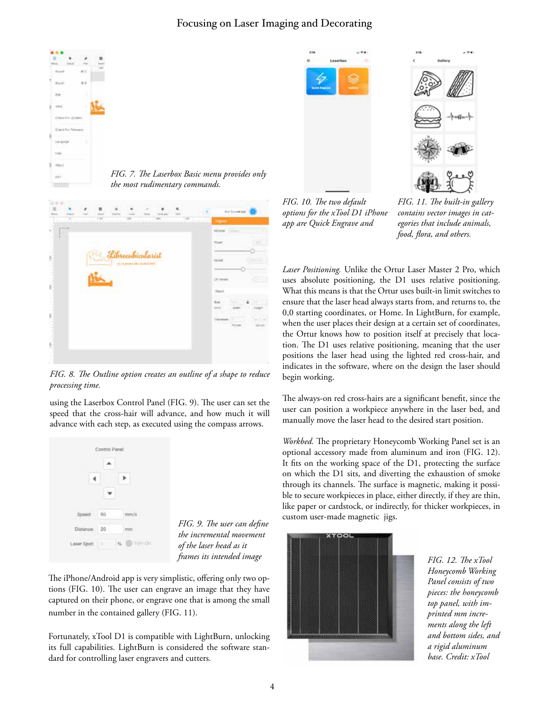## Focusing on Laser Imaging and Decorating







*FIG. 7. The Laserbox Basic menu provides only the most rudimentary commands.*

| 电频率<br>Ħ<br><b>Swed</b><br>¥           | 쁘<br><b>Search</b><br>$\sim$<br>$\mathcal{L}^{\mathcal{L}}$ | <b>Suite</b> | <b>CONTRACTOR</b><br>m<br>ún | ž<br><b>COLLEGE</b> | - 11<br>Foret and<br>tion.<br>œ | <b>W</b> olone | <b>Thursday</b> | For Samiroid   |                       |
|----------------------------------------|-------------------------------------------------------------|--------------|------------------------------|---------------------|---------------------------------|----------------|-----------------|----------------|-----------------------|
| $4 - 1 - 1 = 4$<br>$\overline{a}$<br>L |                                                             |              |                              |                     |                                 |                | Moterni         | <b>Company</b> |                       |
|                                        |                                                             |              |                              |                     |                                 |                | Power:          |                | و د                   |
|                                        | <b>Carl Luck</b>                                            |              | brocubicularist              |                     |                                 |                | <b>bower</b>    |                |                       |
| 第1回 11回                                |                                                             |              |                              |                     |                                 |                | OCTOBER         |                |                       |
|                                        |                                                             |              |                              |                     |                                 |                | Chines          |                |                       |
|                                        |                                                             |              |                              |                     |                                 |                | tis<br>2000     | Пá<br>dir.     | ä                     |
|                                        |                                                             |              |                              |                     |                                 |                | <b>Termen</b>   | <b>Bow</b>     | 10118<br><b>Liman</b> |
| <b>PERMITTE</b>                        |                                                             |              |                              |                     |                                 |                |                 |                | Tul 25                |
|                                        |                                                             |              |                              |                     |                                 |                |                 |                |                       |

*FIG. 8. The Outline option creates an outline of a shape to reduce processing time.*

using the Laserbox Control Panel (FIG. 9). The user can set the speed that the cross-hair will advance, and how much it will advance with each step, as executed using the compass arrows.



*FIG. 9. The user can define the incremental movement of the laser head as it frames its intended image* 

The iPhone/Android app is very simplistic, offering only two options (FIG. 10). The user can engrave an image that they have captured on their phone, or engrave one that is among the small number in the contained gallery (FIG. 11).

Fortunately, xTool D1 is compatible with LightBurn, unlocking its full capabilities. LightBurn is considered the software standard for controlling laser engravers and cutters.

*FIG. 10. The two default options for the xTool D1 iPhone app are Quick Engrave and* 

*FIG. 11. The built-in gallery contains vector images in categories that include animals, food, flora, and others.*

*Laser Positioning.* Unlike the Ortur Laser Master 2 Pro, which uses absolute positioning, the D1 uses relative positioning. What this means is that the Ortur uses built-in limit switches to ensure that the laser head always starts from, and returns to, the 0,0 starting coordinates, or Home. In LightBurn, for example, when the user places their design at a certain set of coordinates, the Ortur knows how to position itself at precisely that location. The D1 uses relative positioning, meaning that the user positions the laser head using the lighted red cross-hair, and indicates in the software, where on the design the laser should begin working.

The always-on red cross-hairs are a significant benefit, since the user can position a workpiece anywhere in the laser bed, and manually move the laser head to the desired start position.

*Workbed.* The proprietary Honeycomb Working Panel set is an optional accessory made from aluminum and iron (FIG. 12). It fits on the working space of the D1, protecting the surface on which the D1 sits, and diverting the exhaustion of smoke through its channels. The surface is magnetic, making it possible to secure workpieces in place, either directly, if they are thin, like paper or cardstock, or indirectly, for thicker workpieces, in custom user-made magnetic jigs.



*FIG. 12. The xTool Honeycomb Working Panel consists of two pieces: the honeycomb top panel, with imprinted mm increments along the left and bottom sides, and a rigid aluminum base. Credit: xTool*